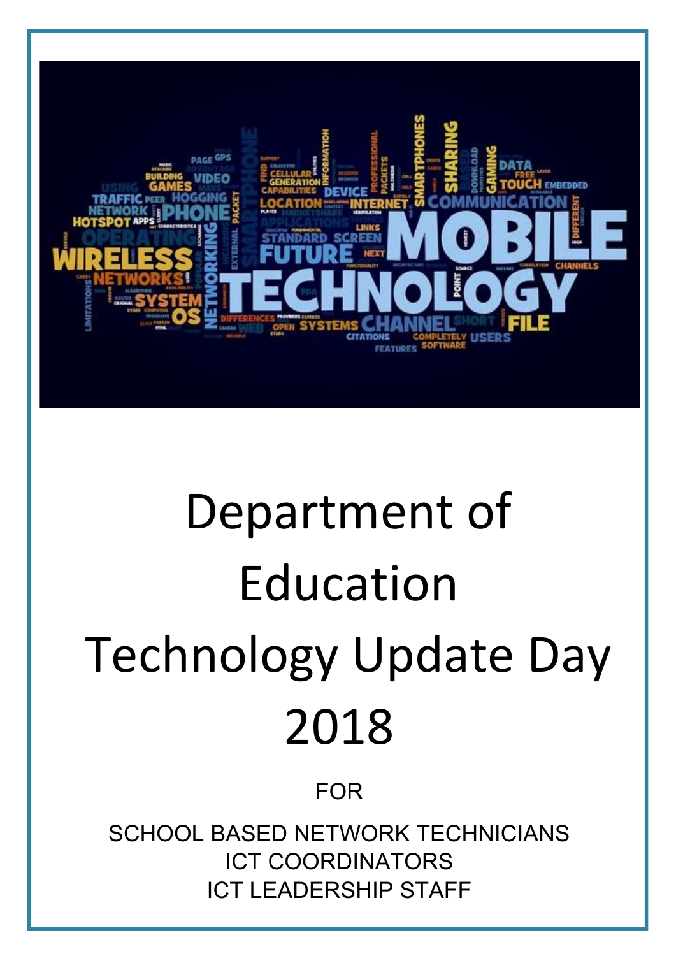

# Department of Education Technology Update Day 2018

FOR

SCHOOL BASED NETWORK TECHNICIANS ICT COORDINATORS ICT LEADERSHIP STAFF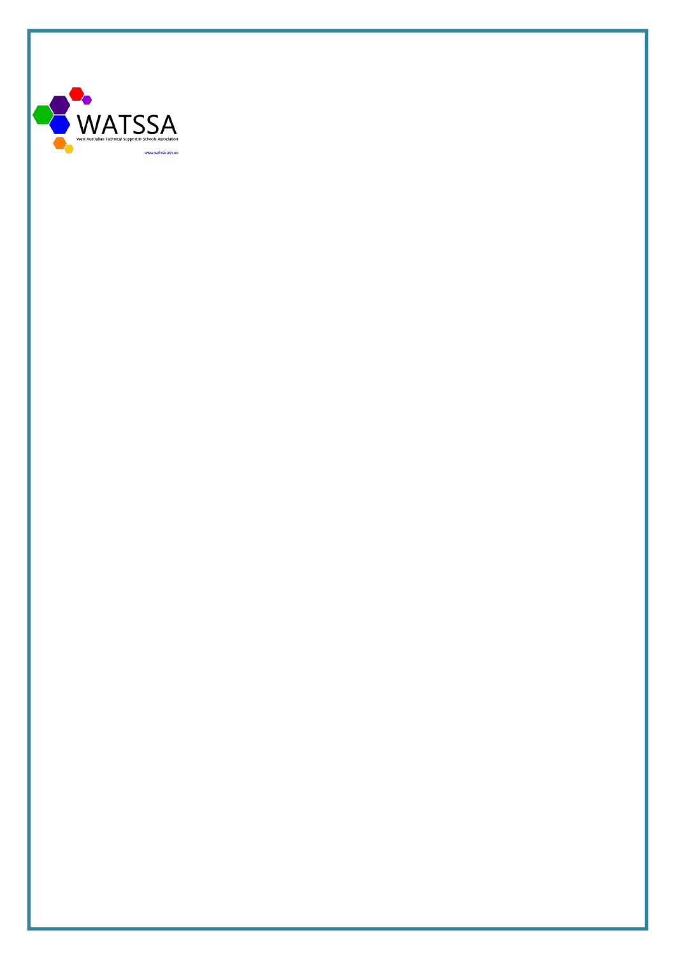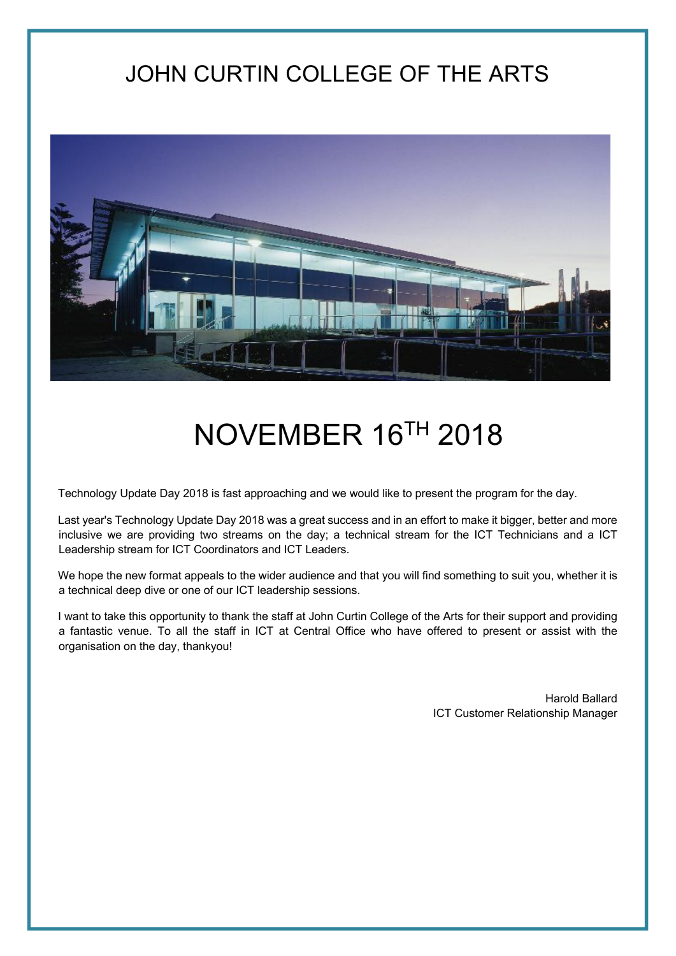# JOHN CURTIN COLLEGE OF THE ARTS



# NOVEMBER 16TH 2018

Technology Update Day 2018 is fast approaching and we would like to present the program for the day.

Last year's Technology Update Day 2018 was a great success and in an effort to make it bigger, better and more inclusive we are providing two streams on the day; a technical stream for the ICT Technicians and a ICT Leadership stream for ICT Coordinators and ICT Leaders.

We hope the new format appeals to the wider audience and that you will find something to suit you, whether it is a technical deep dive or one of our ICT leadership sessions.

I want to take this opportunity to thank the staff at John Curtin College of the Arts for their support and providing a fantastic venue. To all the staff in ICT at Central Office who have offered to present or assist with the organisation on the day, thankyou!

> Harold Ballard ICT Customer Relationship Manager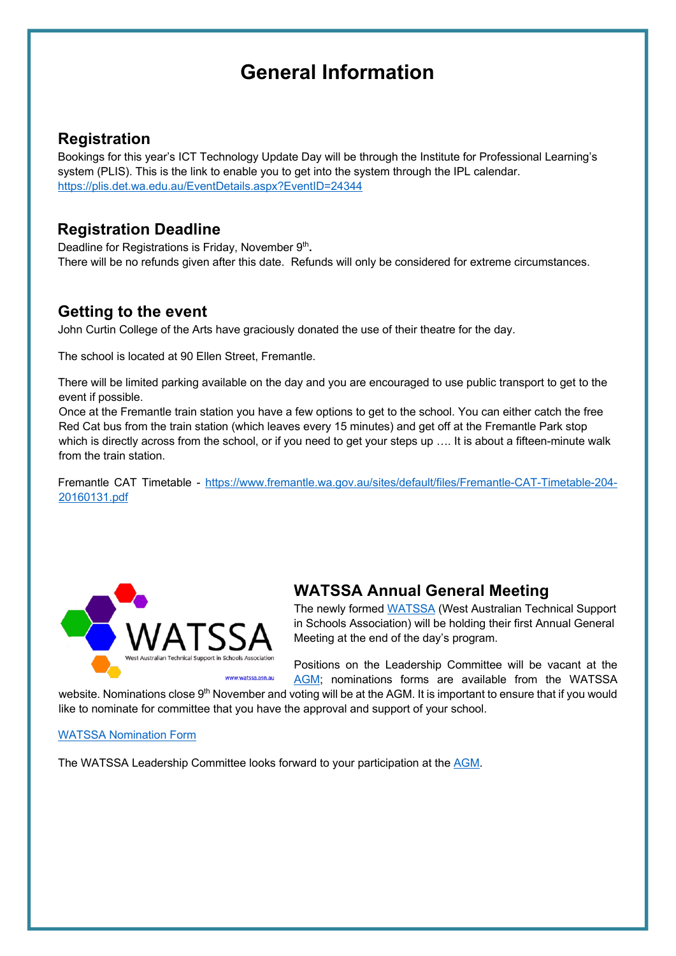# **General Information**

## **Registration**

Bookings for this year's ICT Technology Update Day will be through the Institute for Professional Learning's system (PLIS). This is the link to enable you to get into the system through the IPL calendar. https://plis.det.wa.edu.au/EventDetails.aspx?EventID=24344

## **Registration Deadline**

Deadline for Registrations is Friday, November 9<sup>th</sup>. There will be no refunds given after this date. Refunds will only be considered for extreme circumstances.

# **Getting to the event**

John Curtin College of the Arts have graciously donated the use of their theatre for the day.

The school is located at 90 Ellen Street, Fremantle.

There will be limited parking available on the day and you are encouraged to use public transport to get to the event if possible.

Once at the Fremantle train station you have a few options to get to the school. You can either catch the free Red Cat bus from the train station (which leaves every 15 minutes) and get off at the Fremantle Park stop which is directly across from the school, or if you need to get your steps up …. It is about a fifteen-minute walk from the train station.

Fremantle CAT Timetable - https://www.fremantle.wa.gov.au/sites/default/files/Fremantle-CAT-Timetable-204-20160131.pdf



# **WATSSA Annual General Meeting**

The newly formed WATSSA (West Australian Technical Support in Schools Association) will be holding their first Annual General Meeting at the end of the day's program.

Positions on the Leadership Committee will be vacant at the AGM; nominations forms are available from the WATSSA

website. Nominations close  $9<sup>th</sup>$  November and voting will be at the AGM. It is important to ensure that if you would like to nominate for committee that you have the approval and support of your school.

#### WATSSA Nomination Form

The WATSSA Leadership Committee looks forward to your participation at the AGM.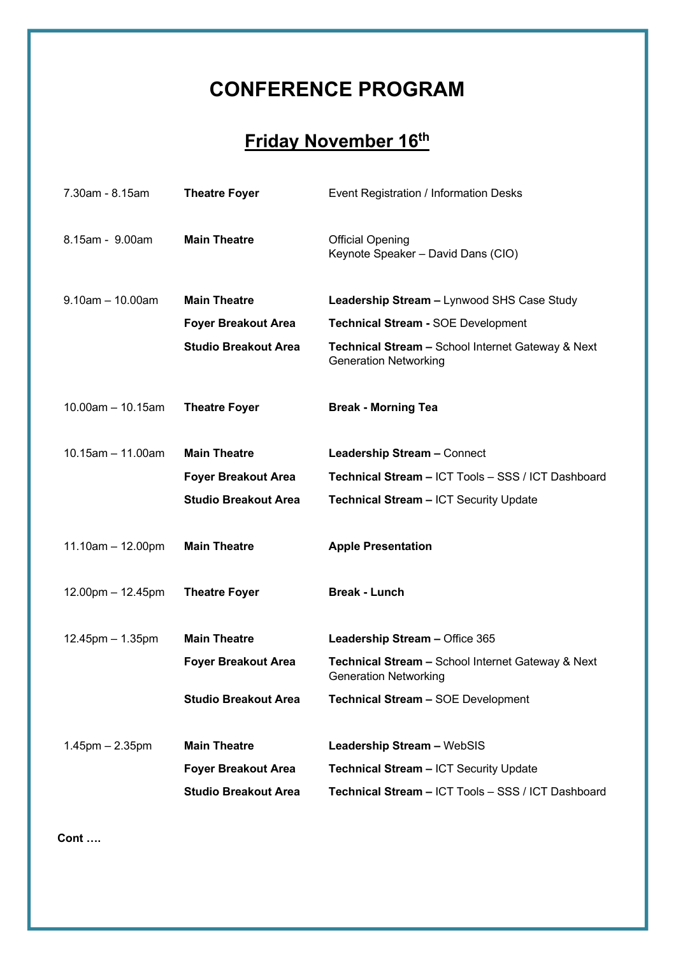# **CONFERENCE PROGRAM**

# **Friday November 16th**

| 7.30am - 8.15am         | <b>Theatre Foyer</b>        | Event Registration / Information Desks                                            |
|-------------------------|-----------------------------|-----------------------------------------------------------------------------------|
| 8.15am - 9.00am         | <b>Main Theatre</b>         | <b>Official Opening</b><br>Keynote Speaker - David Dans (CIO)                     |
| $9.10$ am $- 10.00$ am  | <b>Main Theatre</b>         | Leadership Stream - Lynwood SHS Case Study                                        |
|                         | <b>Foyer Breakout Area</b>  | <b>Technical Stream - SOE Development</b>                                         |
|                         | <b>Studio Breakout Area</b> | Technical Stream - School Internet Gateway & Next<br><b>Generation Networking</b> |
| $10.00$ am $- 10.15$ am | <b>Theatre Foyer</b>        | <b>Break - Morning Tea</b>                                                        |
| $10.15$ am $- 11.00$ am | <b>Main Theatre</b>         | <b>Leadership Stream - Connect</b>                                                |
|                         | <b>Foyer Breakout Area</b>  | Technical Stream - ICT Tools - SSS / ICT Dashboard                                |
|                         | <b>Studio Breakout Area</b> | Technical Stream - ICT Security Update                                            |
| $11.10am - 12.00pm$     | <b>Main Theatre</b>         | <b>Apple Presentation</b>                                                         |
| 12.00pm - 12.45pm       | <b>Theatre Foyer</b>        | <b>Break - Lunch</b>                                                              |
| 12.45pm - 1.35pm        | <b>Main Theatre</b>         | Leadership Stream - Office 365                                                    |
|                         | <b>Foyer Breakout Area</b>  | Technical Stream - School Internet Gateway & Next<br><b>Generation Networking</b> |
|                         | <b>Studio Breakout Area</b> | Technical Stream - SOE Development                                                |
| $1.45$ pm $- 2.35$ pm   | <b>Main Theatre</b>         | Leadership Stream - WebSIS                                                        |
|                         | <b>Foyer Breakout Area</b>  | Technical Stream - ICT Security Update                                            |
|                         | <b>Studio Breakout Area</b> | Technical Stream - ICT Tools - SSS / ICT Dashboard                                |

**Cont ….**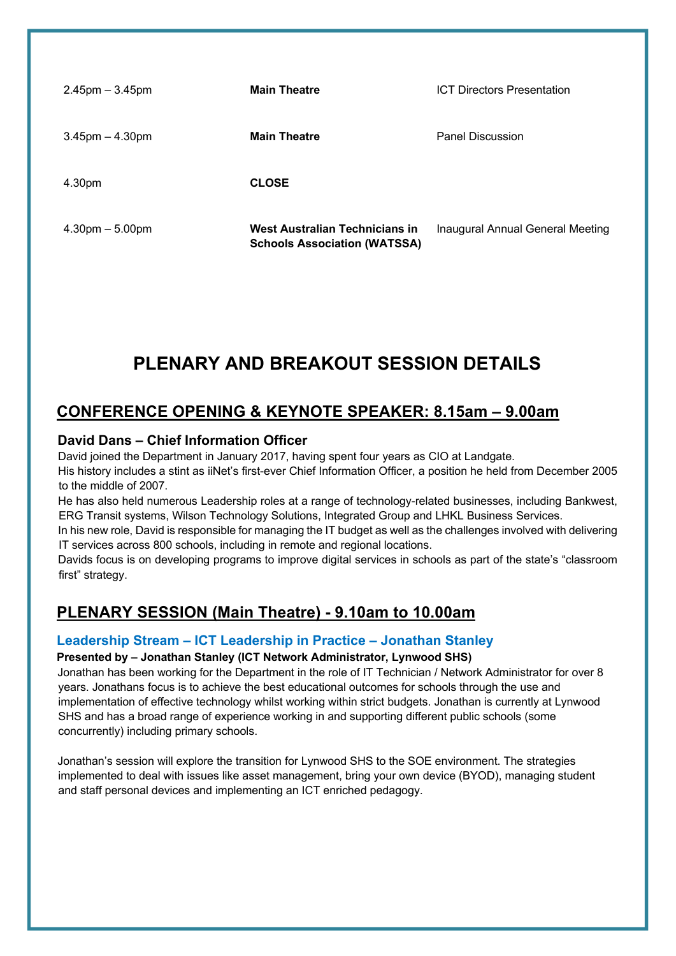| $2.45$ pm $-3.45$ pm | <b>Main Theatre</b>                                                   | <b>ICT Directors Presentation</b> |
|----------------------|-----------------------------------------------------------------------|-----------------------------------|
| $3.45$ pm $-4.30$ pm | <b>Main Theatre</b>                                                   | <b>Panel Discussion</b>           |
| 4.30pm               | <b>CLOSE</b>                                                          |                                   |
| $4.30pm - 5.00pm$    | West Australian Technicians in<br><b>Schools Association (WATSSA)</b> | Inaugural Annual General Meeting  |

# **PLENARY AND BREAKOUT SESSION DETAILS**

# **CONFERENCE OPENING & KEYNOTE SPEAKER: 8.15am – 9.00am**

#### **David Dans – Chief Information Officer**

David joined the Department in January 2017, having spent four years as CIO at Landgate. His history includes a stint as iiNet's first-ever Chief Information Officer, a position he held from December 2005 to the middle of 2007.

He has also held numerous Leadership roles at a range of technology-related businesses, including Bankwest, ERG Transit systems, Wilson Technology Solutions, Integrated Group and LHKL Business Services.

In his new role, David is responsible for managing the IT budget as well as the challenges involved with delivering IT services across 800 schools, including in remote and regional locations.

Davids focus is on developing programs to improve digital services in schools as part of the state's "classroom first" strategy.

# **PLENARY SESSION (Main Theatre) - 9.10am to 10.00am**

### **Leadership Stream – ICT Leadership in Practice – Jonathan Stanley**

#### **Presented by – Jonathan Stanley (ICT Network Administrator, Lynwood SHS)**

Jonathan has been working for the Department in the role of IT Technician / Network Administrator for over 8 years. Jonathans focus is to achieve the best educational outcomes for schools through the use and implementation of effective technology whilst working within strict budgets. Jonathan is currently at Lynwood SHS and has a broad range of experience working in and supporting different public schools (some concurrently) including primary schools.

Jonathan's session will explore the transition for Lynwood SHS to the SOE environment. The strategies implemented to deal with issues like asset management, bring your own device (BYOD), managing student and staff personal devices and implementing an ICT enriched pedagogy.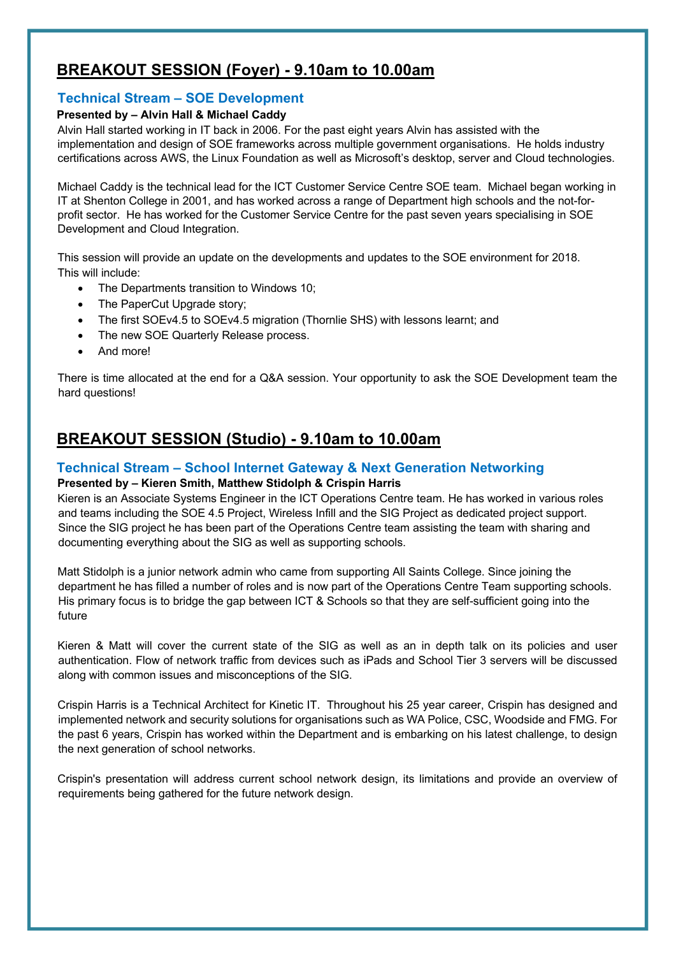# **BREAKOUT SESSION (Foyer) - 9.10am to 10.00am**

#### **Technical Stream – SOE Development**

#### **Presented by – Alvin Hall & Michael Caddy**

Alvin Hall started working in IT back in 2006. For the past eight years Alvin has assisted with the implementation and design of SOE frameworks across multiple government organisations. He holds industry certifications across AWS, the Linux Foundation as well as Microsoft's desktop, server and Cloud technologies.

Michael Caddy is the technical lead for the ICT Customer Service Centre SOE team. Michael began working in IT at Shenton College in 2001, and has worked across a range of Department high schools and the not-forprofit sector. He has worked for the Customer Service Centre for the past seven years specialising in SOE Development and Cloud Integration.

This session will provide an update on the developments and updates to the SOE environment for 2018. This will include:

- The Departments transition to Windows 10;
- The PaperCut Upgrade story;
- The first SOEv4.5 to SOEv4.5 migration (Thornlie SHS) with lessons learnt; and
- The new SOE Quarterly Release process.
- And more!

There is time allocated at the end for a Q&A session. Your opportunity to ask the SOE Development team the hard questions!

# **BREAKOUT SESSION (Studio) - 9.10am to 10.00am**

#### **Technical Stream – School Internet Gateway & Next Generation Networking Presented by – Kieren Smith, Matthew Stidolph & Crispin Harris**

Kieren is an Associate Systems Engineer in the ICT Operations Centre team. He has worked in various roles and teams including the SOE 4.5 Project, Wireless Infill and the SIG Project as dedicated project support. Since the SIG project he has been part of the Operations Centre team assisting the team with sharing and documenting everything about the SIG as well as supporting schools.

Matt Stidolph is a junior network admin who came from supporting All Saints College. Since joining the department he has filled a number of roles and is now part of the Operations Centre Team supporting schools. His primary focus is to bridge the gap between ICT & Schools so that they are self-sufficient going into the future

Kieren & Matt will cover the current state of the SIG as well as an in depth talk on its policies and user authentication. Flow of network traffic from devices such as iPads and School Tier 3 servers will be discussed along with common issues and misconceptions of the SIG.

Crispin Harris is a Technical Architect for Kinetic IT. Throughout his 25 year career, Crispin has designed and implemented network and security solutions for organisations such as WA Police, CSC, Woodside and FMG. For the past 6 years, Crispin has worked within the Department and is embarking on his latest challenge, to design the next generation of school networks.

Crispin's presentation will address current school network design, its limitations and provide an overview of requirements being gathered for the future network design.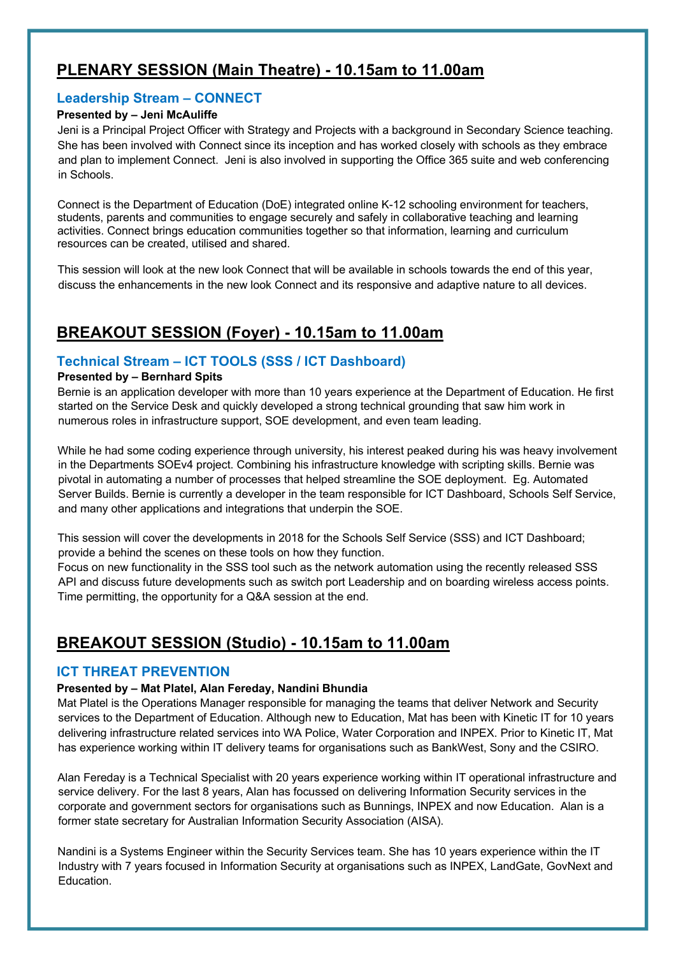# **PLENARY SESSION (Main Theatre) - 10.15am to 11.00am**

#### **Leadership Stream – CONNECT**

#### **Presented by – Jeni McAuliffe**

Jeni is a Principal Project Officer with Strategy and Projects with a background in Secondary Science teaching. She has been involved with Connect since its inception and has worked closely with schools as they embrace and plan to implement Connect. Jeni is also involved in supporting the Office 365 suite and web conferencing in Schools.

Connect is the Department of Education (DoE) integrated online K-12 schooling environment for teachers, students, parents and communities to engage securely and safely in collaborative teaching and learning activities. Connect brings education communities together so that information, learning and curriculum resources can be created, utilised and shared.

This session will look at the new look Connect that will be available in schools towards the end of this year, discuss the enhancements in the new look Connect and its responsive and adaptive nature to all devices.

# **BREAKOUT SESSION (Foyer) - 10.15am to 11.00am**

#### **Technical Stream – ICT TOOLS (SSS / ICT Dashboard)**

#### **Presented by – Bernhard Spits**

Bernie is an application developer with more than 10 years experience at the Department of Education. He first started on the Service Desk and quickly developed a strong technical grounding that saw him work in numerous roles in infrastructure support, SOE development, and even team leading.

While he had some coding experience through university, his interest peaked during his was heavy involvement in the Departments SOEv4 project. Combining his infrastructure knowledge with scripting skills. Bernie was pivotal in automating a number of processes that helped streamline the SOE deployment. Eg. Automated Server Builds. Bernie is currently a developer in the team responsible for ICT Dashboard, Schools Self Service, and many other applications and integrations that underpin the SOE.

This session will cover the developments in 2018 for the Schools Self Service (SSS) and ICT Dashboard; provide a behind the scenes on these tools on how they function.

Focus on new functionality in the SSS tool such as the network automation using the recently released SSS API and discuss future developments such as switch port Leadership and on boarding wireless access points. Time permitting, the opportunity for a Q&A session at the end.

# **BREAKOUT SESSION (Studio) - 10.15am to 11.00am**

#### **ICT THREAT PREVENTION**

#### **Presented by – Mat Platel, Alan Fereday, Nandini Bhundia**

Mat Platel is the Operations Manager responsible for managing the teams that deliver Network and Security services to the Department of Education. Although new to Education, Mat has been with Kinetic IT for 10 years delivering infrastructure related services into WA Police, Water Corporation and INPEX. Prior to Kinetic IT, Mat has experience working within IT delivery teams for organisations such as BankWest, Sony and the CSIRO.

Alan Fereday is a Technical Specialist with 20 years experience working within IT operational infrastructure and service delivery. For the last 8 years, Alan has focussed on delivering Information Security services in the corporate and government sectors for organisations such as Bunnings, INPEX and now Education. Alan is a former state secretary for Australian Information Security Association (AISA).

Nandini is a Systems Engineer within the Security Services team. She has 10 years experience within the IT Industry with 7 years focused in Information Security at organisations such as INPEX, LandGate, GovNext and Education.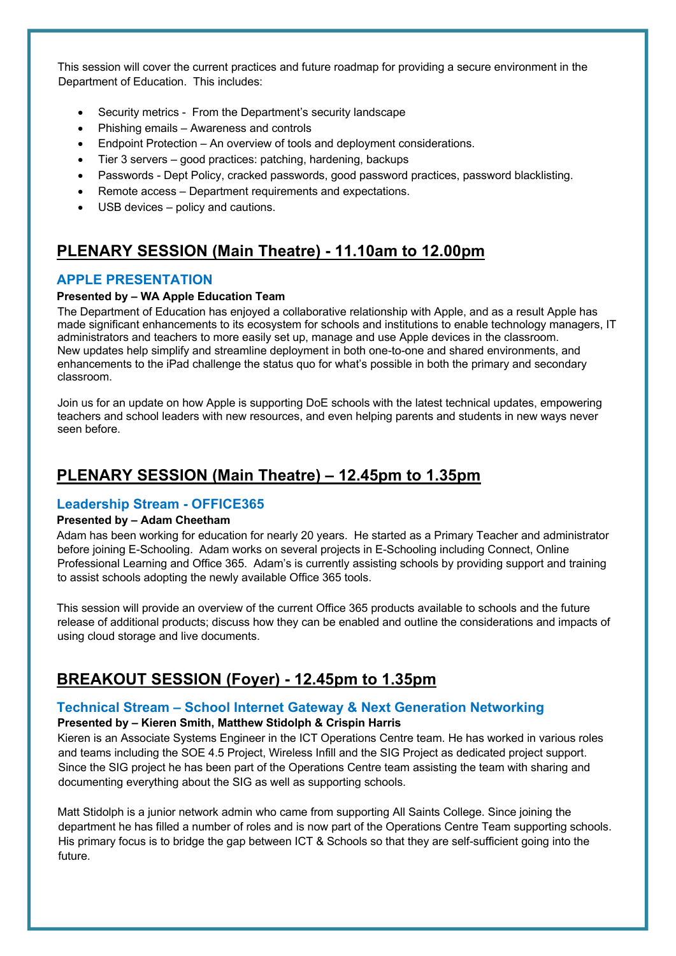This session will cover the current practices and future roadmap for providing a secure environment in the Department of Education. This includes:

- Security metrics From the Department's security landscape
- Phishing emails Awareness and controls
- Endpoint Protection An overview of tools and deployment considerations.
- Tier 3 servers good practices: patching, hardening, backups
- Passwords Dept Policy, cracked passwords, good password practices, password blacklisting.
- Remote access Department requirements and expectations.
- USB devices policy and cautions.

# **PLENARY SESSION (Main Theatre) - 11.10am to 12.00pm**

#### **APPLE PRESENTATION**

#### **Presented by – WA Apple Education Team**

The Department of Education has enjoyed a collaborative relationship with Apple, and as a result Apple has made significant enhancements to its ecosystem for schools and institutions to enable technology managers, IT administrators and teachers to more easily set up, manage and use Apple devices in the classroom. New updates help simplify and streamline deployment in both one-to-one and shared environments, and enhancements to the iPad challenge the status quo for what's possible in both the primary and secondary classroom.

Join us for an update on how Apple is supporting DoE schools with the latest technical updates, empowering teachers and school leaders with new resources, and even helping parents and students in new ways never seen before.

## **PLENARY SESSION (Main Theatre) – 12.45pm to 1.35pm**

#### **Leadership Stream - OFFICE365**

#### **Presented by – Adam Cheetham**

Adam has been working for education for nearly 20 years. He started as a Primary Teacher and administrator before joining E-Schooling. Adam works on several projects in E-Schooling including Connect, Online Professional Learning and Office 365. Adam's is currently assisting schools by providing support and training to assist schools adopting the newly available Office 365 tools.

This session will provide an overview of the current Office 365 products available to schools and the future release of additional products; discuss how they can be enabled and outline the considerations and impacts of using cloud storage and live documents.

## **BREAKOUT SESSION (Foyer) - 12.45pm to 1.35pm**

#### **Technical Stream – School Internet Gateway & Next Generation Networking**

#### **Presented by – Kieren Smith, Matthew Stidolph & Crispin Harris**

Kieren is an Associate Systems Engineer in the ICT Operations Centre team. He has worked in various roles and teams including the SOE 4.5 Project, Wireless Infill and the SIG Project as dedicated project support. Since the SIG project he has been part of the Operations Centre team assisting the team with sharing and documenting everything about the SIG as well as supporting schools.

Matt Stidolph is a junior network admin who came from supporting All Saints College. Since joining the department he has filled a number of roles and is now part of the Operations Centre Team supporting schools. His primary focus is to bridge the gap between ICT & Schools so that they are self-sufficient going into the future.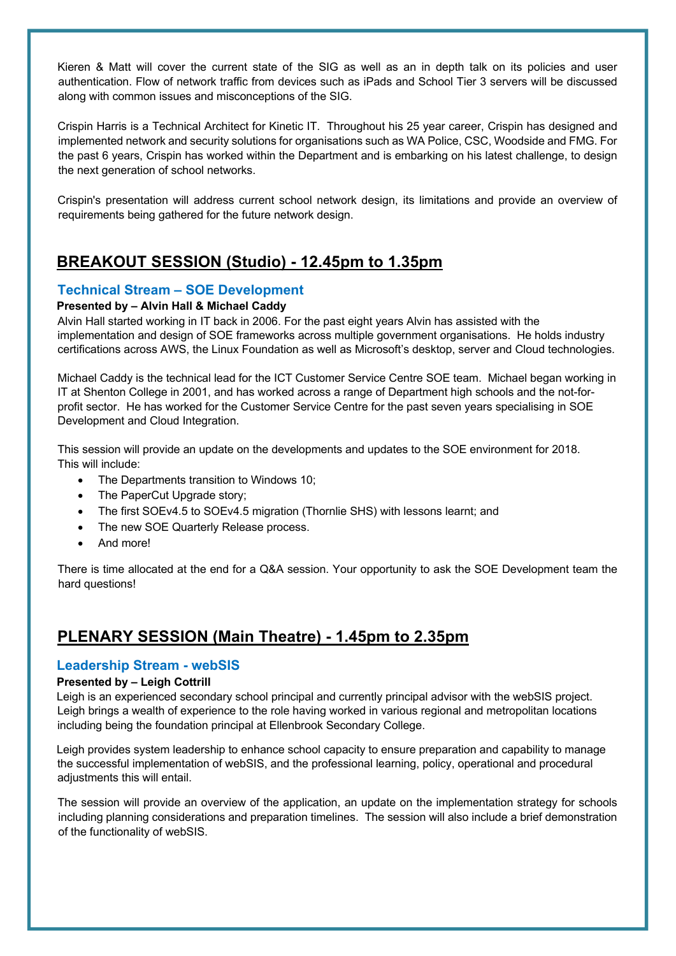Kieren & Matt will cover the current state of the SIG as well as an in depth talk on its policies and user authentication. Flow of network traffic from devices such as iPads and School Tier 3 servers will be discussed along with common issues and misconceptions of the SIG.

Crispin Harris is a Technical Architect for Kinetic IT. Throughout his 25 year career, Crispin has designed and implemented network and security solutions for organisations such as WA Police, CSC, Woodside and FMG. For the past 6 years, Crispin has worked within the Department and is embarking on his latest challenge, to design the next generation of school networks.

Crispin's presentation will address current school network design, its limitations and provide an overview of requirements being gathered for the future network design.

# **BREAKOUT SESSION (Studio) - 12.45pm to 1.35pm**

#### **Technical Stream – SOE Development**

#### **Presented by – Alvin Hall & Michael Caddy**

Alvin Hall started working in IT back in 2006. For the past eight years Alvin has assisted with the implementation and design of SOE frameworks across multiple government organisations. He holds industry certifications across AWS, the Linux Foundation as well as Microsoft's desktop, server and Cloud technologies.

Michael Caddy is the technical lead for the ICT Customer Service Centre SOE team. Michael began working in IT at Shenton College in 2001, and has worked across a range of Department high schools and the not-forprofit sector. He has worked for the Customer Service Centre for the past seven years specialising in SOE Development and Cloud Integration.

This session will provide an update on the developments and updates to the SOE environment for 2018. This will include:

- The Departments transition to Windows 10:
- The PaperCut Upgrade story;
- The first SOEv4.5 to SOEv4.5 migration (Thornlie SHS) with lessons learnt; and
- The new SOE Quarterly Release process.
- And more!

There is time allocated at the end for a Q&A session. Your opportunity to ask the SOE Development team the hard questions!

# **PLENARY SESSION (Main Theatre) - 1.45pm to 2.35pm**

#### **Leadership Stream - webSIS**

#### **Presented by – Leigh Cottrill**

Leigh is an experienced secondary school principal and currently principal advisor with the webSIS project. Leigh brings a wealth of experience to the role having worked in various regional and metropolitan locations including being the foundation principal at Ellenbrook Secondary College.

Leigh provides system leadership to enhance school capacity to ensure preparation and capability to manage the successful implementation of webSIS, and the professional learning, policy, operational and procedural adjustments this will entail.

The session will provide an overview of the application, an update on the implementation strategy for schools including planning considerations and preparation timelines. The session will also include a brief demonstration of the functionality of webSIS.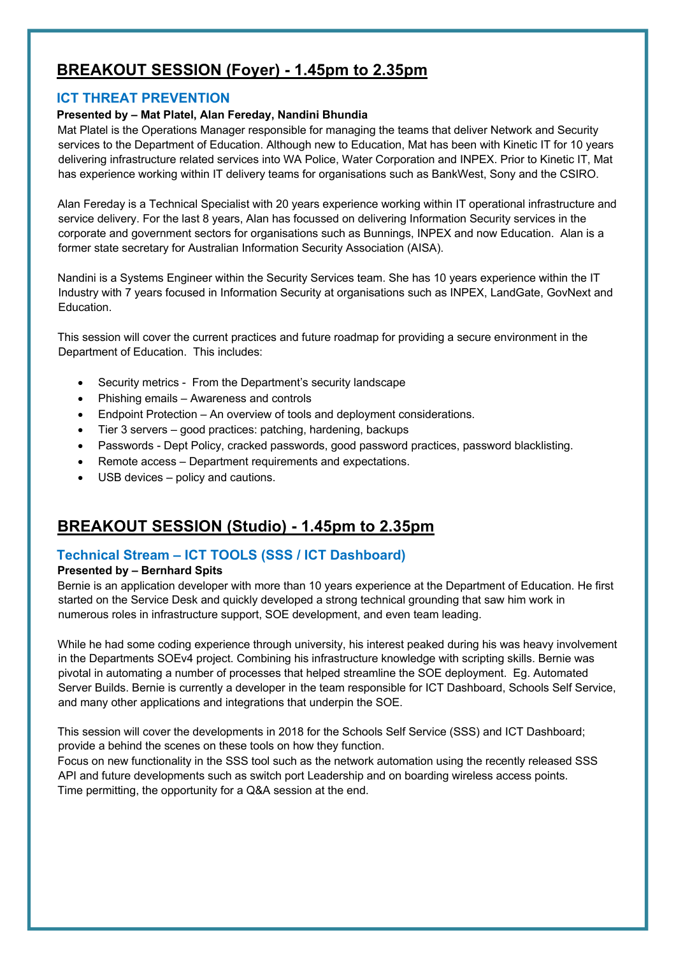# **BREAKOUT SESSION (Foyer) - 1.45pm to 2.35pm**

#### **ICT THREAT PREVENTION**

#### **Presented by – Mat Platel, Alan Fereday, Nandini Bhundia**

Mat Platel is the Operations Manager responsible for managing the teams that deliver Network and Security services to the Department of Education. Although new to Education, Mat has been with Kinetic IT for 10 years delivering infrastructure related services into WA Police, Water Corporation and INPEX. Prior to Kinetic IT, Mat has experience working within IT delivery teams for organisations such as BankWest, Sony and the CSIRO.

Alan Fereday is a Technical Specialist with 20 years experience working within IT operational infrastructure and service delivery. For the last 8 years, Alan has focussed on delivering Information Security services in the corporate and government sectors for organisations such as Bunnings, INPEX and now Education. Alan is a former state secretary for Australian Information Security Association (AISA).

Nandini is a Systems Engineer within the Security Services team. She has 10 years experience within the IT Industry with 7 years focused in Information Security at organisations such as INPEX, LandGate, GovNext and Education.

This session will cover the current practices and future roadmap for providing a secure environment in the Department of Education. This includes:

- Security metrics From the Department's security landscape
- Phishing emails Awareness and controls
- Endpoint Protection An overview of tools and deployment considerations.
- Tier 3 servers good practices: patching, hardening, backups
- Passwords Dept Policy, cracked passwords, good password practices, password blacklisting.
- Remote access Department requirements and expectations.
- USB devices policy and cautions.

# **BREAKOUT SESSION (Studio) - 1.45pm to 2.35pm**

#### **Technical Stream – ICT TOOLS (SSS / ICT Dashboard)**

#### **Presented by – Bernhard Spits**

Bernie is an application developer with more than 10 years experience at the Department of Education. He first started on the Service Desk and quickly developed a strong technical grounding that saw him work in numerous roles in infrastructure support, SOE development, and even team leading.

While he had some coding experience through university, his interest peaked during his was heavy involvement in the Departments SOEv4 project. Combining his infrastructure knowledge with scripting skills. Bernie was pivotal in automating a number of processes that helped streamline the SOE deployment. Eg. Automated Server Builds. Bernie is currently a developer in the team responsible for ICT Dashboard, Schools Self Service, and many other applications and integrations that underpin the SOE.

This session will cover the developments in 2018 for the Schools Self Service (SSS) and ICT Dashboard; provide a behind the scenes on these tools on how they function.

Focus on new functionality in the SSS tool such as the network automation using the recently released SSS API and future developments such as switch port Leadership and on boarding wireless access points. Time permitting, the opportunity for a Q&A session at the end.